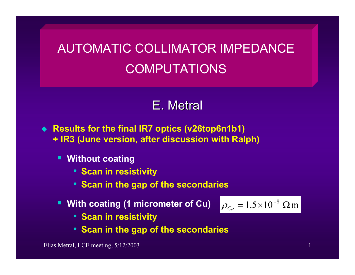## AUTOMATIC COLLIMATOR IMPEDANCE COMPUTATIONS

## E. Metral

- ♦ **Results for the final IR7 optics (v26top6n1b1) + IR3 (June version, after discussion with Ralph)**
	- $\blacksquare$  **Without coating**
		- **Scan in resistivity**
		- **Scan in the gap of the secondaries**
	- п **With coating (1 micrometer of Cu)**

$$
\rho_{Cu} = 1.5 \times 10^{-8} \text{ }\Omega \text{m}
$$

- **Scan in resistivity**
- **Scan in the gap of the secondaries**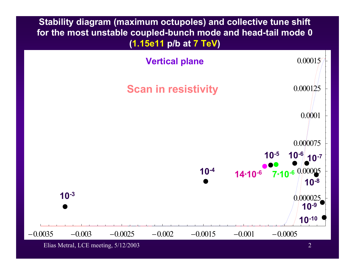

Elias Metral, LCE meeting, 5/12/2003 2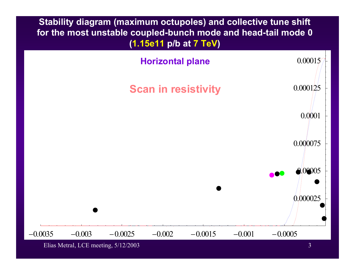

Elias Metral, LCE meeting,  $5/12/2003$  3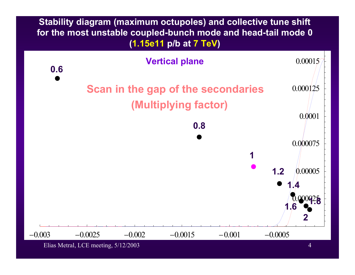

Elias Metral, LCE meeting, 5/12/2003 4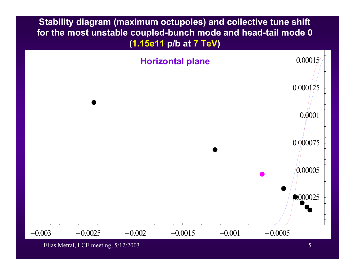

Elias Metral, LCE meeting,  $5/12/2003$  5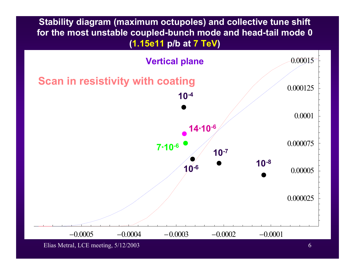

Elias Metral, LCE meeting,  $5/12/2003$  6